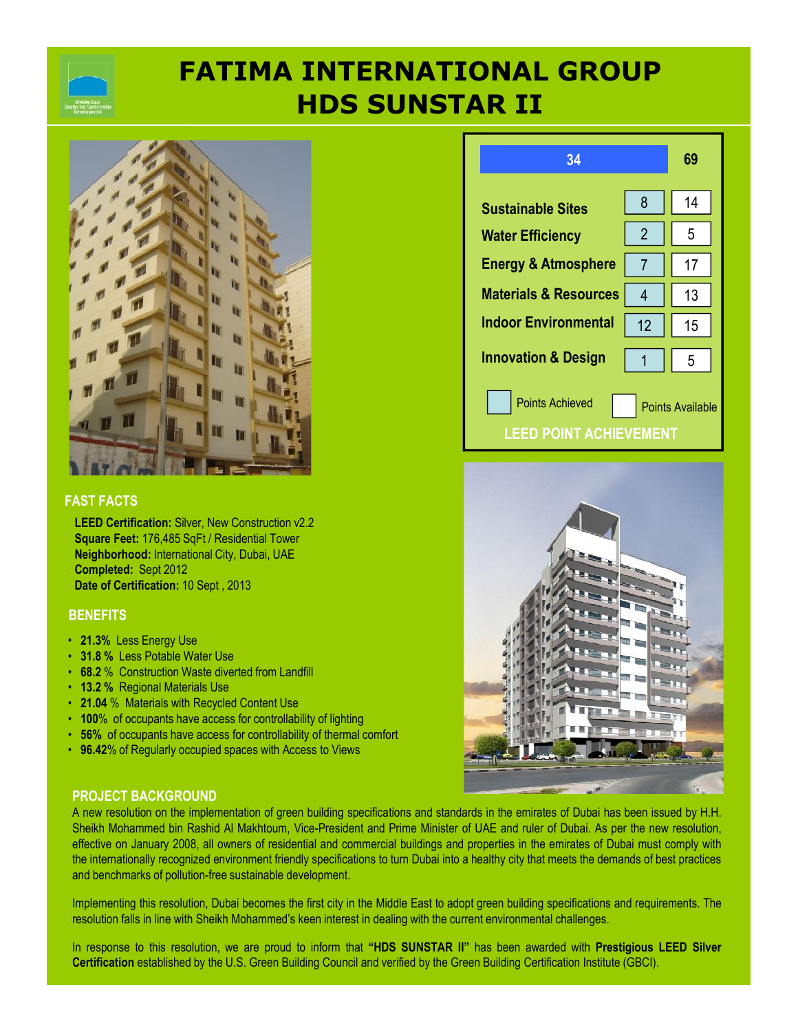# **HDS SUNSTAR II FATIMA INTERNATIONAL GROUP**



### **FAST FACTS**

**LEED Certification:** Silver, New Construction v2.2 **Square Feet:** 176,485 SqFt / Residential Tower **Neighborhood:** International City, Dubai, UAE **Completed:** Sept 2012 **Date of Certification:** 10 Sept , 2013

### **BENEFITS**

- **21.3%** Less Energy Use
- **31.8 %** Less Potable Water Use
- **68.2** % Construction Waste diverted from Landfill
- **13.2 %** Regional Materials Use
- **21.04** % Materials with Recycled Content Use
- **100**% of occupants have access for controllability of lighting
- **56%** of occupants have access for controllability of thermal comfort
- **96.42**% of Regularly occupied spaces with Access to Views



### **34 69 Sustainable Sites Water Efficiency Energy & Atmosphere Materials & Resources Indoor Environmental Innovation & Design** 8 Points Achieved **Points Available** 14  $2 \parallel 5$ 7 1 17 4 13 12 15 1 5 **LEED POINT ACHIEVEMENT**



### **PROJECT BACKGROUND**

A new resolution on the implementation of green building specifications and standards in the emirates of Dubai has been issued by H.H. Sheikh Mohammed bin Rashid Al Makhtoum, Vice-President and Prime Minister of UAE and ruler of Dubai. As per the new resolution, effective on January 2008, all owners of residential and commercial buildings and properties in the emirates of Dubai must comply with the internationally recognized environment friendly specifications to turn Dubai into a healthy city that meets the demands of best practices and benchmarks of pollution-free sustainable development.

Implementing this resolution, Dubai becomes the first city in the Middle East to adopt green building specifications and requirements. The resolution falls in line with Sheikh Mohammed's keen interest in dealing with the current environmental challenges.

In response to this resolution, we are proud to inform that **"HDS SUNSTAR II"** has been awarded with **Prestigious LEED Silver Certification** established by the U.S. Green Building Council and verified by the Green Building Certification Institute (GBCI).